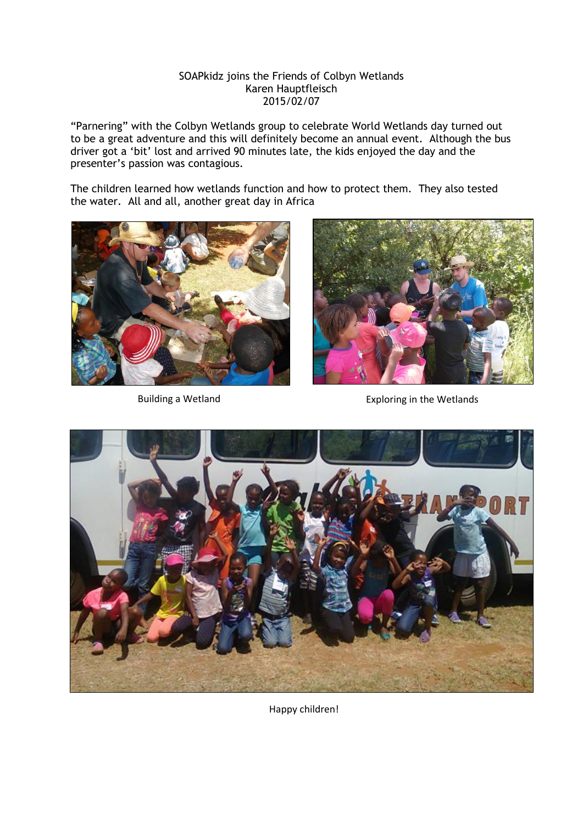## SOAPkidz joins the Friends of Colbyn Wetlands Karen Hauptfleisch 2015/02/07

"Parnering" with the Colbyn Wetlands group to celebrate World Wetlands day turned out to be a great adventure and this will definitely become an annual event. Although the bus driver got a "bit" lost and arrived 90 minutes late, the kids enjoyed the day and the presenter"s passion was contagious.

The children learned how wetlands function and how to protect them. They also tested the water. All and all, another great day in Africa





Building a Wetland **Exploring** in the Wetlands



Happy children!